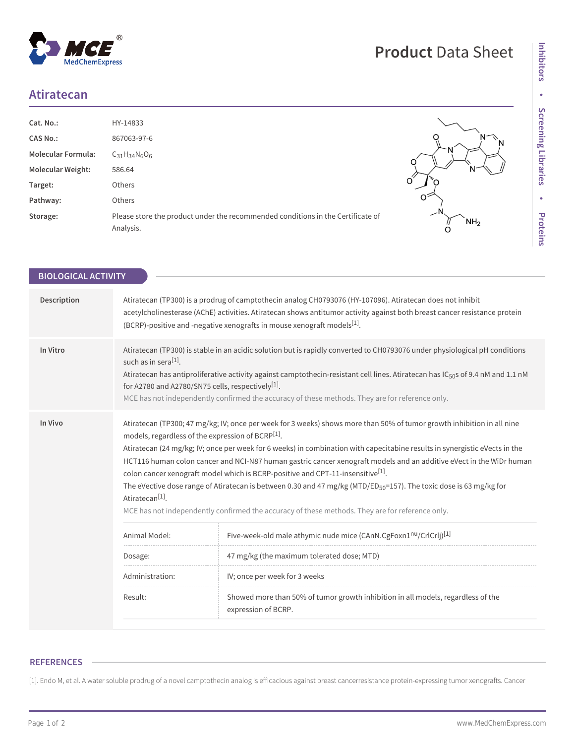## **Atiratecan**

 $^{\circledR}$ 

MedChemExpress

| Cat. No.:                 | HY-14833                                                                                     |                      |
|---------------------------|----------------------------------------------------------------------------------------------|----------------------|
| <b>CAS No.:</b>           | 867063-97-6                                                                                  | N                    |
| <b>Molecular Formula:</b> | $C_{31}H_{34}N_6O_6$                                                                         | IΝ                   |
| <b>Molecular Weight:</b>  | 586.64                                                                                       | N                    |
| Target:                   | Others                                                                                       | O                    |
| Pathway:                  | Others                                                                                       | Ô                    |
| Storage:                  | Please store the product under the recommended conditions in the Certificate of<br>Analysis. | NH <sub>2</sub><br>O |

| er the recommended conditions in the Certificate of | . .<br>NH <sub>2</sub> |
|-----------------------------------------------------|------------------------|
|                                                     |                        |

**Product** Data Sheet

| <b>BIOLOGICAL ACTIVITY</b> |                                                                                                                                                                                                                                                                                                                                                                                                                                                                                                                                                                                                                                                                                                                                                                                                                 |                                                                                                         |  |
|----------------------------|-----------------------------------------------------------------------------------------------------------------------------------------------------------------------------------------------------------------------------------------------------------------------------------------------------------------------------------------------------------------------------------------------------------------------------------------------------------------------------------------------------------------------------------------------------------------------------------------------------------------------------------------------------------------------------------------------------------------------------------------------------------------------------------------------------------------|---------------------------------------------------------------------------------------------------------|--|
| Description                | Atiratecan (TP300) is a prodrug of camptothecin analog CH0793076 (HY-107096). Atiratecan does not inhibit<br>acetylcholinesterase (AChE) activities. Atiratecan shows antitumor activity against both breast cancer resistance protein<br>(BCRP)-positive and -negative xenografts in mouse xenograft models <sup>[1]</sup> .                                                                                                                                                                                                                                                                                                                                                                                                                                                                                   |                                                                                                         |  |
| In Vitro                   | Atiratecan (TP300) is stable in an acidic solution but is rapidly converted to CH0793076 under physiological pH conditions<br>such as in sera <sup>[1]</sup> .<br>Atiratecan has antiproliferative activity against camptothecin-resistant cell lines. Atiratecan has IC <sub>50</sub> s of 9.4 nM and 1.1 nM<br>for A2780 and A2780/SN75 cells, respectively <sup>[1]</sup> .<br>MCE has not independently confirmed the accuracy of these methods. They are for reference only.                                                                                                                                                                                                                                                                                                                               |                                                                                                         |  |
| In Vivo                    | Atiratecan (TP300; 47 mg/kg; IV; once per week for 3 weeks) shows more than 50% of tumor growth inhibition in all nine<br>models, regardless of the expression of BCRP <sup>[1]</sup> .<br>Atiratecan (24 mg/kg; IV; once per week for 6 weeks) in combination with capecitabine results in synergistic eVects in the<br>HCT116 human colon cancer and NCI-N87 human gastric cancer xenograft models and an additive eVect in the WiDr human<br>colon cancer xenograft model which is BCRP-positive and CPT-11-insensitive <sup>[1]</sup> .<br>The eVective dose range of Atiratecan is between 0.30 and 47 mg/kg (MTD/ED <sub>50</sub> =157). The toxic dose is 63 mg/kg for<br>Atiratecan <sup>[1]</sup> .<br>MCE has not independently confirmed the accuracy of these methods. They are for reference only. |                                                                                                         |  |
|                            | Animal Model:                                                                                                                                                                                                                                                                                                                                                                                                                                                                                                                                                                                                                                                                                                                                                                                                   | Five-week-old male athymic nude mice (CAnN.CgFoxn1nu/CrlCrlj) <sup>[1]</sup>                            |  |
|                            | Dosage:                                                                                                                                                                                                                                                                                                                                                                                                                                                                                                                                                                                                                                                                                                                                                                                                         | 47 mg/kg (the maximum tolerated dose; MTD)                                                              |  |
|                            | Administration:                                                                                                                                                                                                                                                                                                                                                                                                                                                                                                                                                                                                                                                                                                                                                                                                 | IV; once per week for 3 weeks                                                                           |  |
|                            | Result:                                                                                                                                                                                                                                                                                                                                                                                                                                                                                                                                                                                                                                                                                                                                                                                                         | Showed more than 50% of tumor growth inhibition in all models, regardless of the<br>expression of BCRP. |  |
|                            |                                                                                                                                                                                                                                                                                                                                                                                                                                                                                                                                                                                                                                                                                                                                                                                                                 |                                                                                                         |  |

## **REFERENCES**

[1]. Endo M, et al. A water soluble prodrug of a novel camptothecin analog is efficacious against breast cancerresistance protein-expressing tumor xenografts. Cancer